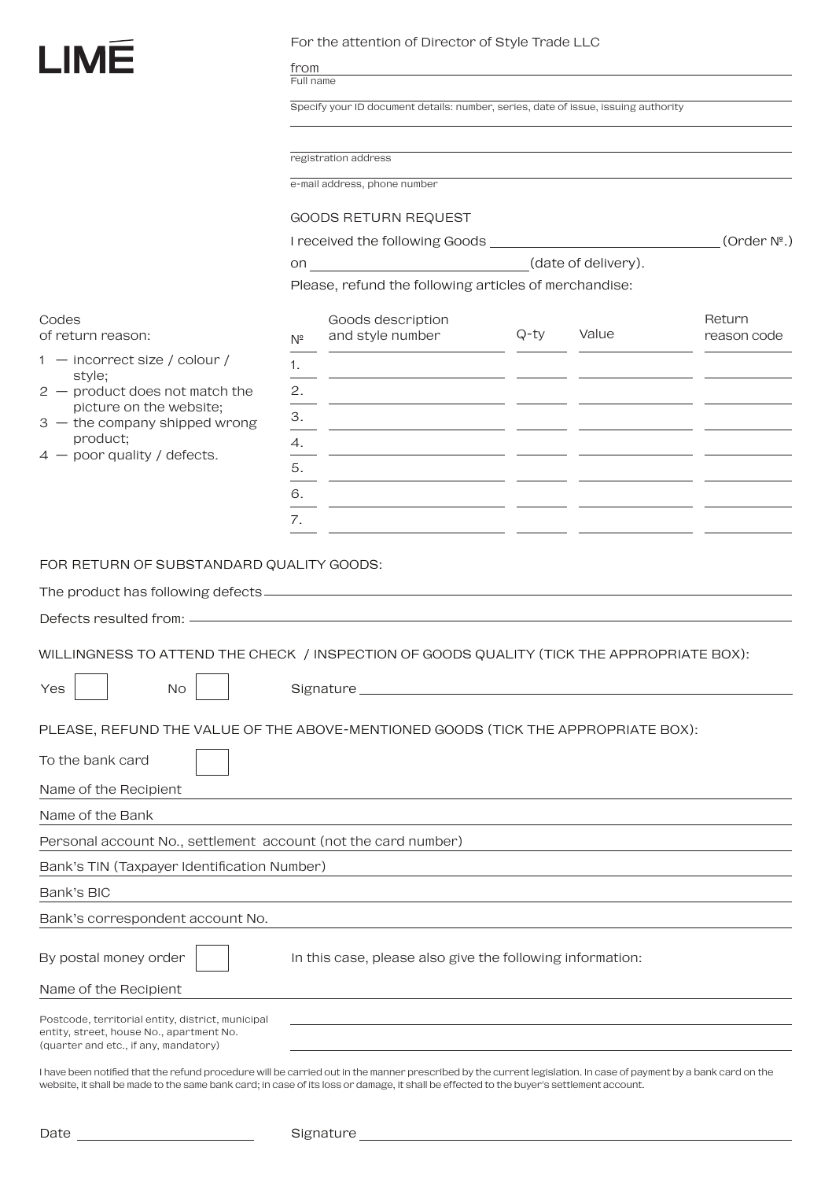|                                                                                                                                                                                           | For the attention of Director of Style Trade LLC<br>from<br>Full name              |                                                           |      |       |                       |
|-------------------------------------------------------------------------------------------------------------------------------------------------------------------------------------------|------------------------------------------------------------------------------------|-----------------------------------------------------------|------|-------|-----------------------|
|                                                                                                                                                                                           | Specify your ID document details: number, series, date of issue, issuing authority |                                                           |      |       |                       |
|                                                                                                                                                                                           |                                                                                    |                                                           |      |       |                       |
|                                                                                                                                                                                           | registration address                                                               |                                                           |      |       |                       |
|                                                                                                                                                                                           | e-mail address, phone number                                                       |                                                           |      |       |                       |
|                                                                                                                                                                                           | <b>GOODS RETURN REQUEST</b>                                                        |                                                           |      |       |                       |
|                                                                                                                                                                                           | (Order N <sup>2</sup> .)<br>I received the following Goods _____                   |                                                           |      |       |                       |
|                                                                                                                                                                                           | (date of delivery).<br>on                                                          |                                                           |      |       |                       |
|                                                                                                                                                                                           | Please, refund the following articles of merchandise:                              |                                                           |      |       |                       |
| Codes<br>of return reason:                                                                                                                                                                |                                                                                    | Goods description<br>and style number                     | Q-ty | Value | Return<br>reason code |
| - incorrect size / colour /<br>1<br>style;<br>$2 -$ product does not match the<br>picture on the website;<br>$3 -$ the company shipped wrong<br>product;<br>$4$ – poor quality / defects. | $N^2$                                                                              |                                                           |      |       |                       |
|                                                                                                                                                                                           | 1.<br>2.                                                                           |                                                           |      |       |                       |
|                                                                                                                                                                                           | 3.                                                                                 |                                                           |      |       |                       |
|                                                                                                                                                                                           | 4.                                                                                 |                                                           |      |       |                       |
|                                                                                                                                                                                           | 5.                                                                                 |                                                           |      |       |                       |
|                                                                                                                                                                                           | 6.                                                                                 |                                                           |      |       |                       |
|                                                                                                                                                                                           | 7.                                                                                 |                                                           |      |       |                       |
|                                                                                                                                                                                           |                                                                                    |                                                           |      |       |                       |
| FOR RETURN OF SUBSTANDARD QUALITY GOODS:                                                                                                                                                  |                                                                                    |                                                           |      |       |                       |
| The product has following defects                                                                                                                                                         |                                                                                    |                                                           |      |       |                       |
|                                                                                                                                                                                           |                                                                                    |                                                           |      |       |                       |
| WILLINGNESS TO ATTEND THE CHECK / INSPECTION OF GOODS QUALITY (TICK THE APPROPRIATE BOX):                                                                                                 |                                                                                    |                                                           |      |       |                       |
| Yes<br><b>No</b>                                                                                                                                                                          |                                                                                    | Signature __                                              |      |       |                       |
|                                                                                                                                                                                           |                                                                                    |                                                           |      |       |                       |
| PLEASE, REFUND THE VALUE OF THE ABOVE-MENTIONED GOODS (TICK THE APPROPRIATE BOX):                                                                                                         |                                                                                    |                                                           |      |       |                       |
| To the bank card                                                                                                                                                                          |                                                                                    |                                                           |      |       |                       |
| Name of the Recipient                                                                                                                                                                     |                                                                                    |                                                           |      |       |                       |
| Name of the Bank                                                                                                                                                                          |                                                                                    |                                                           |      |       |                       |
| Personal account No., settlement account (not the card number)                                                                                                                            |                                                                                    |                                                           |      |       |                       |
| Bank's TIN (Taxpayer Identification Number)                                                                                                                                               |                                                                                    |                                                           |      |       |                       |
| Bank's BIC                                                                                                                                                                                |                                                                                    |                                                           |      |       |                       |
| Bank's correspondent account No.                                                                                                                                                          |                                                                                    |                                                           |      |       |                       |
| By postal money order                                                                                                                                                                     |                                                                                    | In this case, please also give the following information: |      |       |                       |
| Name of the Recipient                                                                                                                                                                     |                                                                                    |                                                           |      |       |                       |
| Postcode, territorial entity, district, municipal<br>entity, street, house No., apartment No.<br>(quarter and etc., if any, mandatory)                                                    |                                                                                    |                                                           |      |       |                       |

I have been notified that the refund procedure will be carried out in the manner prescribed by the current legislation. In case of payment by a bank card on the website, it shall be made to the same bank card; in case of its loss or damage, it shall be effected to the buyer's settlement account.